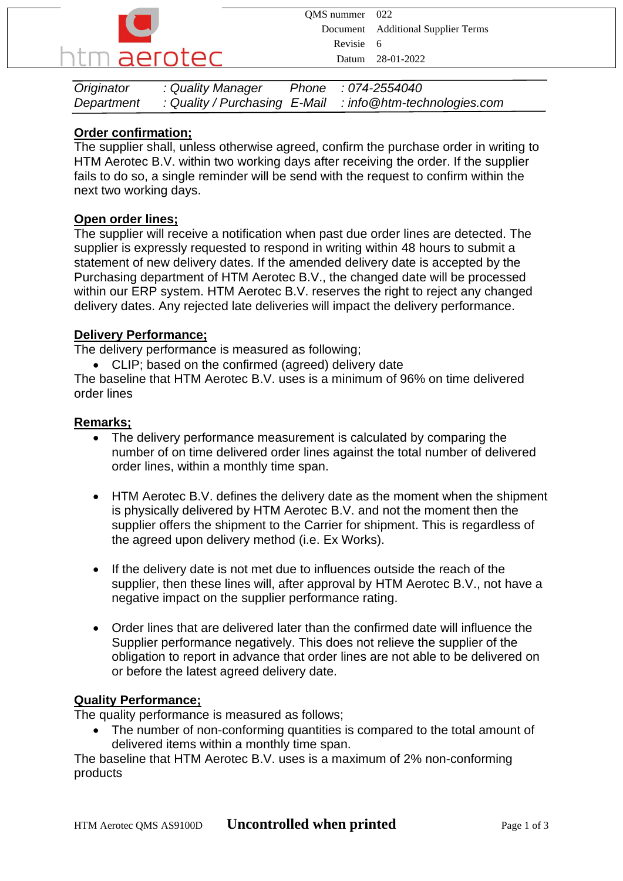

| Originator | : Quality Manager             | Phone : 074-2554040         |
|------------|-------------------------------|-----------------------------|
| Department | : Quality / Purchasing E-Mail | : info@htm-technologies.com |

# **Order confirmation;**

The supplier shall, unless otherwise agreed, confirm the purchase order in writing to HTM Aerotec B.V. within two working days after receiving the order. If the supplier fails to do so, a single reminder will be send with the request to confirm within the next two working days.

## **Open order lines;**

The supplier will receive a notification when past due order lines are detected. The supplier is expressly requested to respond in writing within 48 hours to submit a statement of new delivery dates. If the amended delivery date is accepted by the Purchasing department of HTM Aerotec B.V., the changed date will be processed within our ERP system. HTM Aerotec B.V. reserves the right to reject any changed delivery dates. Any rejected late deliveries will impact the delivery performance.

# **Delivery Performance;**

The delivery performance is measured as following;

• CLIP; based on the confirmed (agreed) delivery date

The baseline that HTM Aerotec B.V. uses is a minimum of 96% on time delivered order lines

## **Remarks;**

- The delivery performance measurement is calculated by comparing the number of on time delivered order lines against the total number of delivered order lines, within a monthly time span.
- HTM Aerotec B.V. defines the delivery date as the moment when the shipment is physically delivered by HTM Aerotec B.V. and not the moment then the supplier offers the shipment to the Carrier for shipment. This is regardless of the agreed upon delivery method (i.e. Ex Works).
- If the delivery date is not met due to influences outside the reach of the supplier, then these lines will, after approval by HTM Aerotec B.V., not have a negative impact on the supplier performance rating.
- Order lines that are delivered later than the confirmed date will influence the Supplier performance negatively. This does not relieve the supplier of the obligation to report in advance that order lines are not able to be delivered on or before the latest agreed delivery date.

## **Quality Performance;**

The quality performance is measured as follows;

• The number of non-conforming quantities is compared to the total amount of delivered items within a monthly time span.

The baseline that HTM Aerotec B.V. uses is a maximum of 2% non-conforming products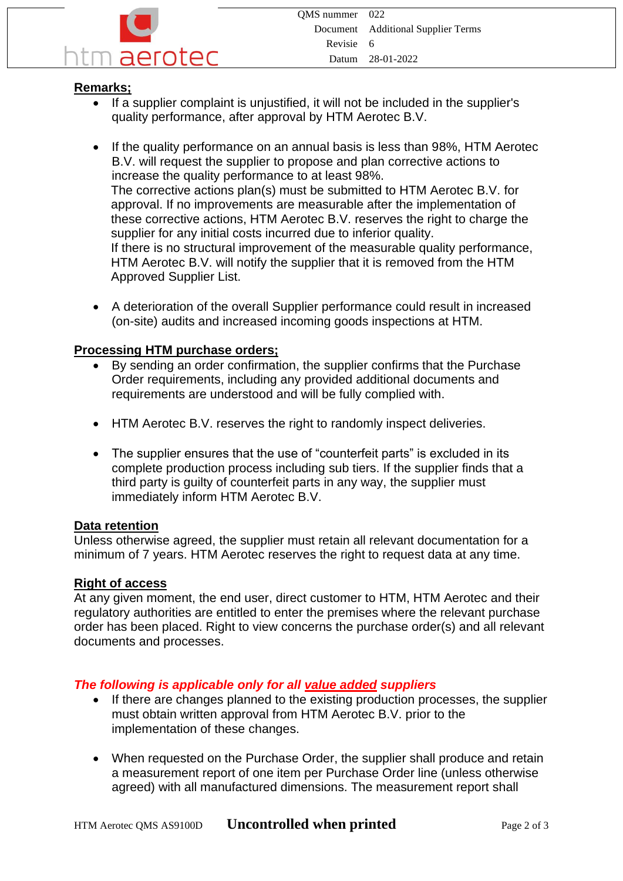

# **Remarks;**

- If a supplier complaint is unjustified, it will not be included in the supplier's quality performance, after approval by HTM Aerotec B.V.
- If the quality performance on an annual basis is less than 98%, HTM Aerotec B.V. will request the supplier to propose and plan corrective actions to increase the quality performance to at least 98%. The corrective actions plan(s) must be submitted to HTM Aerotec B.V. for approval. If no improvements are measurable after the implementation of these corrective actions, HTM Aerotec B.V. reserves the right to charge the supplier for any initial costs incurred due to inferior quality. If there is no structural improvement of the measurable quality performance, HTM Aerotec B.V. will notify the supplier that it is removed from the HTM Approved Supplier List.
- A deterioration of the overall Supplier performance could result in increased (on-site) audits and increased incoming goods inspections at HTM.

### **Processing HTM purchase orders;**

- By sending an order confirmation, the supplier confirms that the Purchase Order requirements, including any provided additional documents and requirements are understood and will be fully complied with.
- HTM Aerotec B.V. reserves the right to randomly inspect deliveries.
- The supplier ensures that the use of "counterfeit parts" is excluded in its complete production process including sub tiers. If the supplier finds that a third party is guilty of counterfeit parts in any way, the supplier must immediately inform HTM Aerotec B.V.

#### **Data retention**

Unless otherwise agreed, the supplier must retain all relevant documentation for a minimum of 7 years. HTM Aerotec reserves the right to request data at any time.

## **Right of access**

At any given moment, the end user, direct customer to HTM, HTM Aerotec and their regulatory authorities are entitled to enter the premises where the relevant purchase order has been placed. Right to view concerns the purchase order(s) and all relevant documents and processes.

## *The following is applicable only for all value added suppliers*

- If there are changes planned to the existing production processes, the supplier must obtain written approval from HTM Aerotec B.V. prior to the implementation of these changes.
- When requested on the Purchase Order, the supplier shall produce and retain a measurement report of one item per Purchase Order line (unless otherwise agreed) with all manufactured dimensions. The measurement report shall